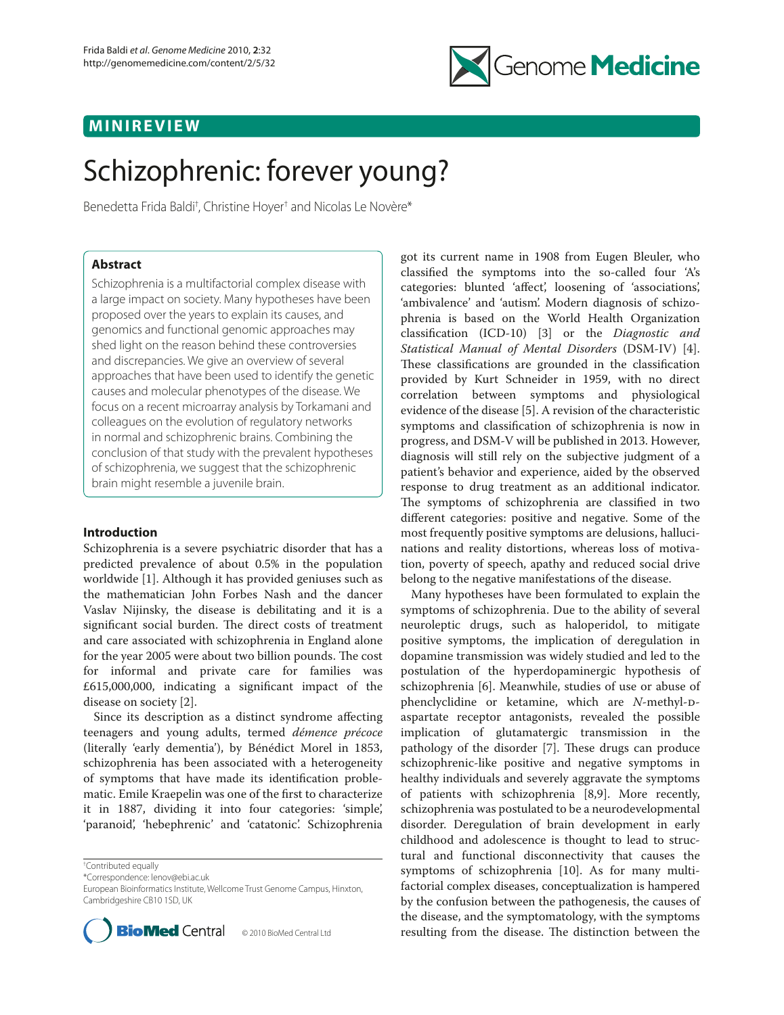

## **MINIREVIEW**

# Schizophrenic: forever young?

Benedetta Frida Baldi† , Christine Hoyer† and Nicolas Le Novère\*

## **Abstract**

Schizophrenia is a multifactorial complex disease with a large impact on society. Many hypotheses have been proposed over the years to explain its causes, and genomics and functional genomic approaches may shed light on the reason behind these controversies and discrepancies. We give an overview of several approaches that have been used to identify the genetic causes and molecular phenotypes of the disease. We focus on a recent microarray analysis by Torkamani and colleagues on the evolution of regulatory networks in normal and schizophrenic brains. Combining the conclusion of that study with the prevalent hypotheses of schizophrenia, we suggest that the schizophrenic brain might resemble a juvenile brain.

## **Introduction**

Schizophrenia is a severe psychiatric disorder that has a predicted prevalence of about 0.5% in the population worldwide [1]. Although it has provided geniuses such as the mathematician John Forbes Nash and the dancer Vaslav Nijinsky, the disease is debilitating and it is a significant social burden. The direct costs of treatment and care associated with schizophrenia in England alone for the year 2005 were about two billion pounds. The cost for informal and private care for families was £615,000,000, indicating a significant impact of the disease on society [2].

Since its description as a distinct syndrome affecting teenagers and young adults, termed *démence précoce*  (literally 'early dementia'), by Bénédict Morel in 1853, schizophrenia has been associated with a heterogeneity of symptoms that have made its identification problematic. Emile Kraepelin was one of the first to characterize it in 1887, dividing it into four categories: 'simple', 'paranoid', 'hebephrenic' and 'catatonic'. Schizophrenia

† Contributed equally

\*Correspondence: lenov@ebi.ac.uk

European Bioinformatics Institute, Wellcome Trust Genome Campus, Hinxton, Cambridgeshire CB10 1SD, UK



got its current name in 1908 from Eugen Bleuler, who classified the symptoms into the so-called four 'A's categories: blunted 'affect', loosening of 'associations', 'ambivalence' and 'autism'. Modern diagnosis of schizophrenia is based on the World Health Organization classification (ICD-10) [3] or the *Diagnostic and Statistical Manual of Mental Disorders* (DSM-IV) [4]. These classifications are grounded in the classification provided by Kurt Schneider in 1959, with no direct correlation between symptoms and physiological evidence of the disease [5]. A revision of the characteristic symptoms and classification of schizophrenia is now in progress, and DSM-V will be published in 2013. However, diagnosis will still rely on the subjective judgment of a patient's behavior and experience, aided by the observed response to drug treatment as an additional indicator. The symptoms of schizophrenia are classified in two different categories: positive and negative. Some of the most frequently positive symptoms are delusions, hallucinations and reality distortions, whereas loss of motivation, poverty of speech, apathy and reduced social drive belong to the negative manifestations of the disease.

Many hypotheses have been formulated to explain the symptoms of schizophrenia. Due to the ability of several neuroleptic drugs, such as haloperidol, to mitigate positive symptoms, the implication of deregulation in dopamine transmission was widely studied and led to the postulation of the hyperdopaminergic hypothesis of schizophrenia [6]. Meanwhile, studies of use or abuse of phenclyclidine or ketamine, which are *N*-methyl-Daspartate receptor antagonists, revealed the possible implication of glutamatergic transmission in the pathology of the disorder [7]. These drugs can produce schizophrenic-like positive and negative symptoms in healthy individuals and severely aggravate the symptoms of patients with schizophrenia [8,9]. More recently, schizophrenia was postulated to be a neurodevelopmental disorder. Deregulation of brain development in early childhood and adolescence is thought to lead to structural and functional disconnectivity that causes the symptoms of schizophrenia [10]. As for many multifactorial complex diseases, conceptualization is hampered by the confusion between the pathogenesis, the causes of the disease, and the symptomatology, with the symptoms resulting from the disease. The distinction between the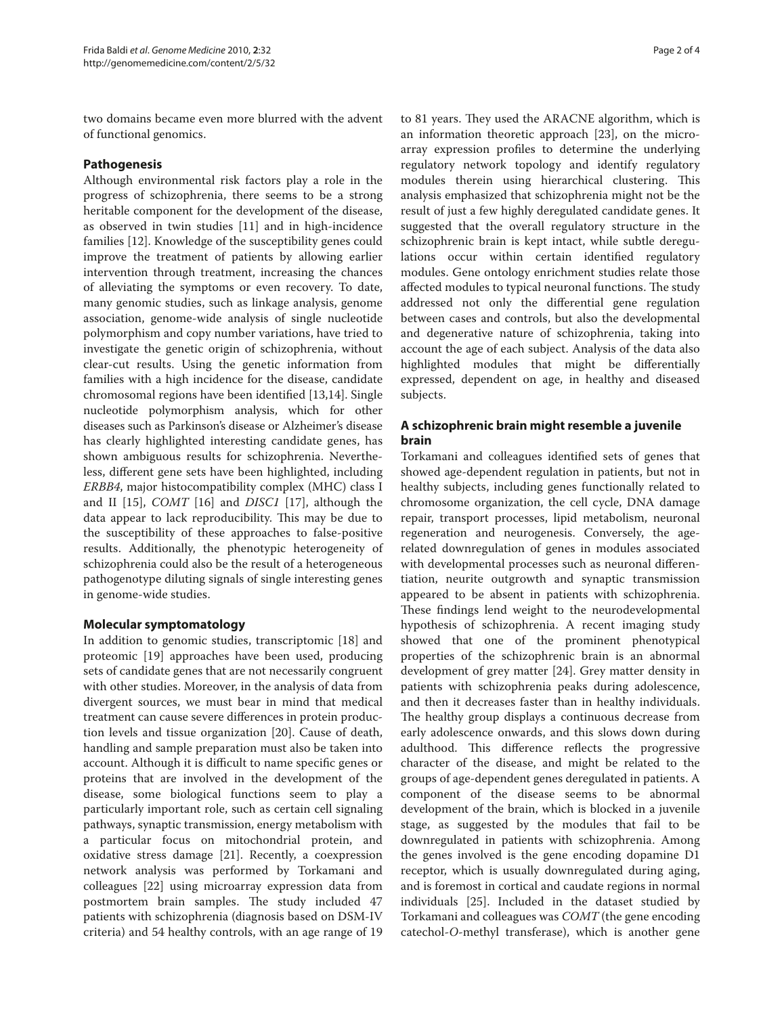two domains became even more blurred with the advent of functional genomics.

## **Pathogenesis**

Although environmental risk factors play a role in the progress of schizophrenia, there seems to be a strong heritable component for the development of the disease, as observed in twin studies [11] and in high-incidence families [12]. Knowledge of the susceptibility genes could improve the treatment of patients by allowing earlier intervention through treatment, increasing the chances of alleviating the symptoms or even recovery. To date, many genomic studies, such as linkage analysis, genome association, genome-wide analysis of single nucleotide polymorphism and copy number variations, have tried to investigate the genetic origin of schizophrenia, without clear-cut results. Using the genetic information from families with a high incidence for the disease, candidate chromosomal regions have been identified [13,14]. Single nucleotide polymorphism analysis, which for other diseases such as Parkinson's disease or Alzheimer's disease has clearly highlighted interesting candidate genes, has shown ambiguous results for schizophrenia. Nevertheless, different gene sets have been highlighted, including *ERBB4*, major histocompatibility complex (MHC) class I and II [15], *COMT* [16] and *DISC1* [17], although the data appear to lack reproducibility. This may be due to the susceptibility of these approaches to false-positive results. Additionally, the phenotypic heterogeneity of schizophrenia could also be the result of a heterogeneous pathogenotype diluting signals of single interesting genes in genome-wide studies.

### **Molecular symptomatology**

In addition to genomic studies, transcriptomic [18] and proteomic [19] approaches have been used, producing sets of candidate genes that are not necessarily congruent with other studies. Moreover, in the analysis of data from divergent sources, we must bear in mind that medical treatment can cause severe differences in protein production levels and tissue organization [20]. Cause of death, handling and sample preparation must also be taken into account. Although it is difficult to name specific genes or proteins that are involved in the development of the disease, some biological functions seem to play a particularly important role, such as certain cell signaling pathways, synaptic transmission, energy metabolism with a particular focus on mitochondrial protein, and oxidative stress damage [21]. Recently, a coexpression network analysis was performed by Torkamani and colleagues [22] using microarray expression data from postmortem brain samples. The study included 47 patients with schizophrenia (diagnosis based on DSM-IV criteria) and 54 healthy controls, with an age range of 19 to 81 years. They used the ARACNE algorithm, which is an information theoretic approach [23], on the microarray expression profiles to determine the underlying regulatory network topology and identify regulatory modules therein using hierarchical clustering. This analysis emphasized that schizophrenia might not be the result of just a few highly deregulated candidate genes. It suggested that the overall regulatory structure in the schizophrenic brain is kept intact, while subtle deregulations occur within certain identified regulatory modules. Gene ontology enrichment studies relate those affected modules to typical neuronal functions. The study addressed not only the differential gene regulation between cases and controls, but also the developmental and degenerative nature of schizophrenia, taking into account the age of each subject. Analysis of the data also highlighted modules that might be differentially expressed, dependent on age, in healthy and diseased subjects.

## **A schizophrenic brain might resemble a juvenile brain**

Torkamani and colleagues identified sets of genes that showed age-dependent regulation in patients, but not in healthy subjects, including genes functionally related to chromosome organization, the cell cycle, DNA damage repair, transport processes, lipid metabolism, neuronal regeneration and neurogenesis. Conversely, the agerelated downregulation of genes in modules associated with developmental processes such as neuronal differentiation, neurite outgrowth and synaptic transmission appeared to be absent in patients with schizophrenia. These findings lend weight to the neurodevelopmental hypothesis of schizophrenia. A recent imaging study showed that one of the prominent phenotypical properties of the schizophrenic brain is an abnormal development of grey matter [24]. Grey matter density in patients with schizophrenia peaks during adolescence, and then it decreases faster than in healthy individuals. The healthy group displays a continuous decrease from early adolescence onwards, and this slows down during adulthood. This difference reflects the progressive character of the disease, and might be related to the groups of age-dependent genes deregulated in patients. A component of the disease seems to be abnormal development of the brain, which is blocked in a juvenile stage, as suggested by the modules that fail to be downregulated in patients with schizophrenia. Among the genes involved is the gene encoding dopamine D1 receptor, which is usually downregulated during aging, and is foremost in cortical and caudate regions in normal individuals [25]. Included in the dataset studied by Torkamani and colleagues was *COMT* (the gene encoding catechol-*O*-methyl transferase), which is another gene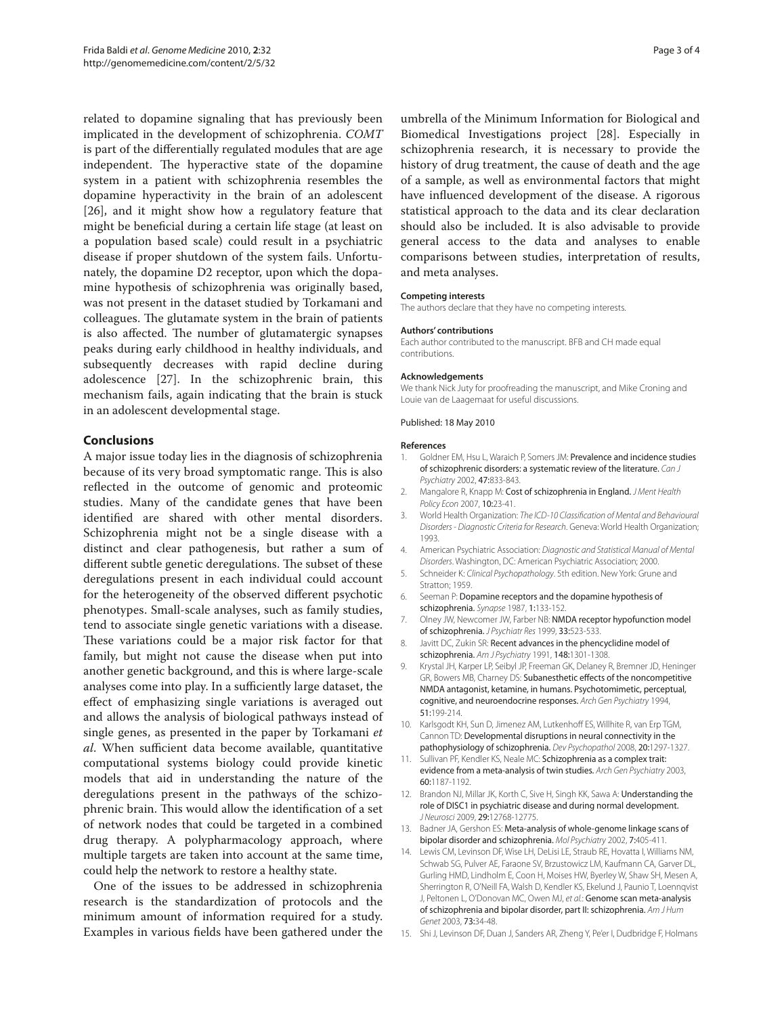related to dopamine signaling that has previously been implicated in the development of schizophrenia. *COMT* is part of the differentially regulated modules that are age independent. The hyperactive state of the dopamine system in a patient with schizophrenia resembles the dopamine hyperactivity in the brain of an adolescent [26], and it might show how a regulatory feature that might be beneficial during a certain life stage (at least on a population based scale) could result in a psychiatric disease if proper shutdown of the system fails. Unfortunately, the dopamine D2 receptor, upon which the dopamine hypothesis of schizophrenia was originally based, was not present in the dataset studied by Torkamani and colleagues. The glutamate system in the brain of patients is also affected. The number of glutamatergic synapses peaks during early childhood in healthy individuals, and subsequently decreases with rapid decline during adolescence [27]. In the schizophrenic brain, this mechanism fails, again indicating that the brain is stuck in an adolescent developmental stage.

### **Conclusions**

A major issue today lies in the diagnosis of schizophrenia because of its very broad symptomatic range. This is also reflected in the outcome of genomic and proteomic studies. Many of the candidate genes that have been identified are shared with other mental disorders. Schizophrenia might not be a single disease with a distinct and clear pathogenesis, but rather a sum of different subtle genetic deregulations. The subset of these deregulations present in each individual could account for the heterogeneity of the observed different psychotic phenotypes. Small-scale analyses, such as family studies, tend to associate single genetic variations with a disease. These variations could be a major risk factor for that family, but might not cause the disease when put into another genetic background, and this is where large-scale analyses come into play. In a sufficiently large dataset, the effect of emphasizing single variations is averaged out and allows the analysis of biological pathways instead of single genes, as presented in the paper by Torkamani *et al*. When sufficient data become available, quantitative computational systems biology could provide kinetic models that aid in understanding the nature of the deregulations present in the pathways of the schizophrenic brain. This would allow the identification of a set of network nodes that could be targeted in a combined drug therapy. A polypharmacology approach, where multiple targets are taken into account at the same time, could help the network to restore a healthy state.

One of the issues to be addressed in schizophrenia research is the standardization of protocols and the minimum amount of information required for a study. Examples in various fields have been gathered under the

umbrella of the Minimum Information for Biological and Biomedical Investigations project [28]. Especially in schizophrenia research, it is necessary to provide the history of drug treatment, the cause of death and the age of a sample, as well as environmental factors that might have influenced development of the disease. A rigorous statistical approach to the data and its clear declaration should also be included. It is also advisable to provide general access to the data and analyses to enable comparisons between studies, interpretation of results, and meta analyses.

#### **Competing interests**

The authors declare that they have no competing interests.

#### **Authors' contributions**

Each author contributed to the manuscript. BFB and CH made equal contributions.

#### **Acknowledgements**

We thank Nick Juty for proofreading the manuscript, and Mike Croning and Louie van de Laagemaat for useful discussions.

#### Published: 18 May 2010

#### **References**

- Goldner EM, Hsu L, Waraich P, Somers JM: Prevalence and incidence studies of schizophrenic disorders: a systematic review of the literature. *Can J Psychiatry* 2002, 47:833-843.
- 2. Mangalore R, Knapp M: Cost of schizophrenia in England. *J Ment Health Policy Econ* 2007, 10:23-41.
- 3. World Health Organization: *The ICD-10 Classification of Mental and Behavioural Disorders - Diagnostic Criteria for Research*. Geneva: World Health Organization; 1993.
- 4. American Psychiatric Association: *Diagnostic and Statistical Manual of Mental Disorders*. Washington, DC: American Psychiatric Association; 2000.
- 5. Schneider K: *Clinical Psychopathology*. 5th edition. New York: Grune and Stratton; 1959.
- 6. Seeman P: Dopamine receptors and the dopamine hypothesis of schizophrenia. *Synapse* 1987, 1:133-152.
- 7. Olney JW, Newcomer JW, Farber NB: NMDA receptor hypofunction model of schizophrenia. *J Psychiatr Res* 1999, 33:523-533.
- Javitt DC, Zukin SR: Recent advances in the phencyclidine model of schizophrenia. *Am J Psychiatry* 1991, 148:1301-1308.
- 9. Krystal JH, Karper LP, Seibyl JP, Freeman GK, Delaney R, Bremner JD, Heninger GR, Bowers MB, Charney DS: Subanesthetic effects of the noncompetitive NMDA antagonist, ketamine, in humans. Psychotomimetic, perceptual, cognitive, and neuroendocrine responses. *Arch Gen Psychiatry* 1994, 51:199-214.
- 10. Karlsgodt KH, Sun D, Jimenez AM, Lutkenhoff ES, Willhite R, van Erp TGM, Cannon TD: Developmental disruptions in neural connectivity in the pathophysiology of schizophrenia. *Dev Psychopathol* 2008, 20:1297-1327.
- 11. Sullivan PF, Kendler KS, Neale MC: Schizophrenia as a complex trait: evidence from a meta-analysis of twin studies. *Arch Gen Psychiatry* 2003, 60:1187-1192.
- 12. Brandon NJ, Millar JK, Korth C, Sive H, Singh KK, Sawa A: Understanding the role of DISC1 in psychiatric disease and during normal development. *J Neurosci* 2009, 29:12768-12775.
- 13. Badner JA, Gershon ES: Meta-analysis of whole-genome linkage scans of bipolar disorder and schizophrenia. *Mol Psychiatry* 2002, 7:405-411.
- 14. Lewis CM, Levinson DF, Wise LH, DeLisi LE, Straub RE, Hovatta I, Williams NM, Schwab SG, Pulver AE, Faraone SV, Brzustowicz LM, Kaufmann CA, Garver DL, Gurling HMD, Lindholm E, Coon H, Moises HW, Byerley W, Shaw SH, Mesen A, Sherrington R, O'Neill FA, Walsh D, Kendler KS, Ekelund J, Paunio T, Loennqvist J, Peltonen L, O'Donovan MC, Owen MJ, *et al.*: Genome scan meta-analysis of schizophrenia and bipolar disorder, part II: schizophrenia. *Am J Hum Genet* 2003, 73:34-48.
- 15. Shi J, Levinson DF, Duan J, Sanders AR, Zheng Y, Pe'er I, Dudbridge F, Holmans